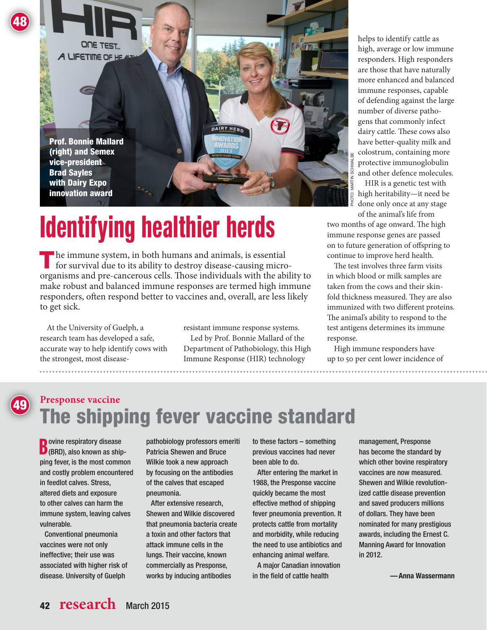

## **Identifying healthier herds**

The immune system, in both humans and animals, is essential<br>for survival due to its ability to destroy disease-causing microorganisms and pre-cancerous cells. Those individuals with the ability to make robust and balanced immune responses are termed high immune responders, often respond better to vaccines and, overall, are less likely to get sick.

At the University of Guelph, a research team has developed a safe, accurate way to help identify cows with the strongest, most disease-

48

49

resistant immune response systems. Led by Prof. Bonnie Mallard of the Department of Pathobiology, this High Immune Response (HIR) technology

helps to identify cattle as high, average or low immune responders. High responders are those that have naturally more enhanced and balanced immune responses, capable of defending against the large number of diverse pathogens that commonly infect dairy cattle. These cows also have better-quality milk and colostrum, containing more protective immunoglobulin and other defence molecules.

HIR is a genetic test with high heritability—it need be done only once at any stage of the animal's life from

two months of age onward. The high immune response genes are passed on to future generation of offspring to continue to improve herd health.

The test involves three farm visits in which blood or milk samples are taken from the cows and their skinfold thickness measured. They are also immunized with two different proteins. The animal's ability to respond to the test antigens determines its immune response.

High immune responders have up to 50 per cent lower incidence of

## **Presponse vaccine** The shipping fever vaccine standard

**B** ovine respiratory disease<br> **B** (BRD), also known as ship (BRD), also known as shipping fever, is the most common and costly problem encountered in feedlot calves. Stress, altered diets and exposure to other calves can harm the immune system, leaving calves vulnerable.

Conventional pneumonia vaccines were not only ineffective; their use was associated with higher risk of disease. University of Guelph

pathobiology professors emeriti Patricia Shewen and Bruce Wilkie took a new approach by focusing on the antibodies of the calves that escaped pneumonia.

After extensive research, Shewen and Wilkie discovered that pneumonia bacteria create a toxin and other factors that attack immune cells in the lungs. Their vaccine, known commercially as Presponse, works by inducing antibodies

to these factors – something previous vaccines had never been able to do.

After entering the market in 1988, the Presponse vaccine quickly became the most effective method of shipping fever pneumonia prevention. It protects cattle from mortality and morbidity, while reducing the need to use antibiotics and enhancing animal welfare.

A major Canadian innovation in the field of cattle health

management, Presponse has become the standard by which other bovine respiratory vaccines are now measured. Shewen and Wilkie revolutionized cattle disease prevention and saved producers millions of dollars. They have been nominated for many prestigious awards, including the Ernest C. Manning Award for Innovation in 2012.

—Anna Wassermann